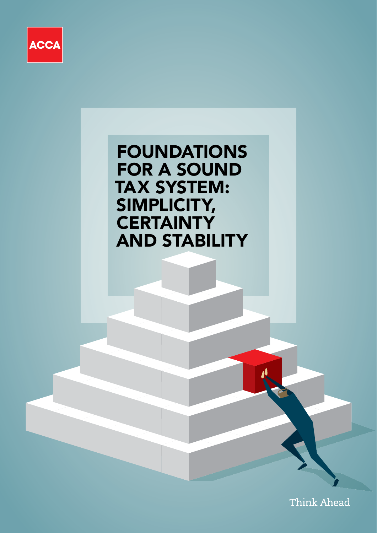

FOUNDATIONS FOR A SOUND TAX SYSTEM: SIMPLICITY, **CERTAINTY** AND STABILITY

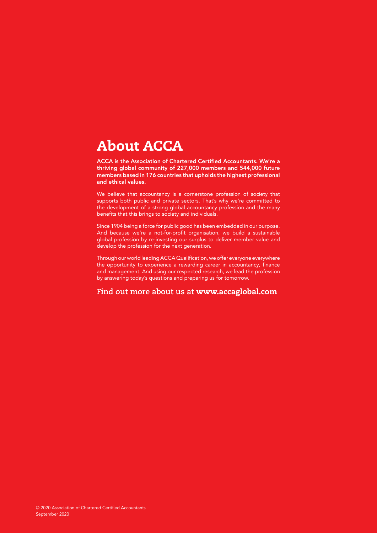## About ACCA

ACCA is the Association of Chartered Certified Accountants. We're a thriving global community of 227,000 members and 544,000 future members based in 176 countries that upholds the highest professional and ethical values.

We believe that accountancy is a cornerstone profession of society that supports both public and private sectors. That's why we're committed to the development of a strong global accountancy profession and the many benefits that this brings to society and individuals.

Since 1904 being a force for public good has been embedded in our purpose. And because we're a not-for-profit organisation, we build a sustainable global profession by re-investing our surplus to deliver member value and develop the profession for the next generation.

Through our world leading ACCA Qualification, we offer everyone everywhere the opportunity to experience a rewarding career in accountancy, finance and management. And using our respected research, we lead the profession by answering today's questions and preparing us for tomorrow.

### **Find out more about us at** www.accaglobal.com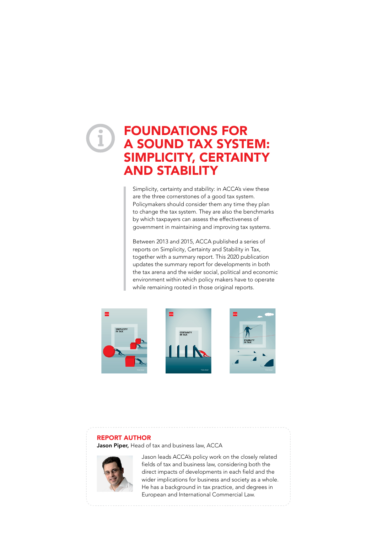## FOUNDATIONS FOR A SOUND TAX SYSTEM: SIMPLICITY, CERTAINTY AND STABILITY

Simplicity, certainty and stability: in ACCA's view these are the three cornerstones of a good tax system. Policymakers should consider them any time they plan to change the tax system. They are also the benchmarks by which taxpayers can assess the effectiveness of government in maintaining and improving tax systems.

Between 2013 and 2015, ACCA published a series of reports on Simplicity, Certainty and Stability in Tax, together with a summary report. This 2020 publication updates the summary report for developments in both the tax arena and the wider social, political and economic environment within which policy makers have to operate while remaining rooted in those original reports.



#### REPORT AUTHOR

Jason Piper, Head of tax and business law, ACCA



Jason leads ACCA's policy work on the closely related fields of tax and business law, considering both the direct impacts of developments in each field and the wider implications for business and society as a whole. He has a background in tax practice, and degrees in European and International Commercial Law.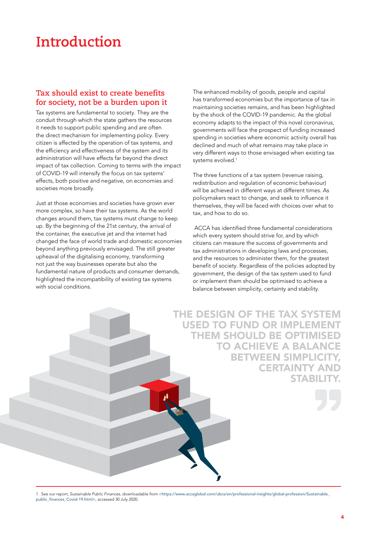# **Introduction**

### **Tax should exist to create benefits for society, not be a burden upon it**

Tax systems are fundamental to society. They are the conduit through which the state gathers the resources it needs to support public spending and are often the direct mechanism for implementing policy. Every citizen is affected by the operation of tax systems, and the efficiency and effectiveness of the system and its administration will have effects far beyond the direct impact of tax collection. Coming to terms with the impact of COVID-19 will intensify the focus on tax systems' effects, both positive and negative, on economies and societies more broadly.

Just at those economies and societies have grown ever more complex, so have their tax systems. As the world changes around them, tax systems must change to keep up. By the beginning of the 21st century, the arrival of the container, the executive jet and the internet had changed the face of world trade and domestic economies beyond anything previously envisaged. The still greater upheaval of the digitalising economy, transforming not just the way businesses operate but also the fundamental nature of products and consumer demands, highlighted the incompatibility of existing tax systems with social conditions.

The enhanced mobility of goods, people and capital has transformed economies but the importance of tax in maintaining societies remains, and has been highlighted by the shock of the COVID-19 pandemic. As the global economy adapts to the impact of this novel coronavirus, governments will face the prospect of funding increased spending in societies where economic activity overall has declined and much of what remains may take place in very different ways to those envisaged when existing tax systems evolved.1

The three functions of a tax system (revenue raising, redistribution and regulation of economic behaviour) will be achieved in different ways at different times. As policymakers react to change, and seek to influence it themselves, they will be faced with choices over what to tax, and how to do so.

 ACCA has identified three fundamental considerations which every system should strive for, and by which citizens can measure the success of governments and tax administrations in developing laws and processes, and the resources to administer them, for the greatest benefit of society. Regardless of the policies adopted by government, the design of the tax system used to fund or implement them should be optimised to achieve a balance between simplicity, certainty and stability.

THE DESIGN OF THE TAX SYSTEM USED TO FUND OR IMPLEMENT THEM SHOULD BE OPTIMISED TO ACHIEVE A BALANCE BETWEEN SIMPLICITY, CERTAINTY AND **STABILIT** 

1 See our report, *Sustainable Public Finances*, downloadable from <[https://www.accaglobal.com/ubcs/en/professional-insights/global-profession/Sustainable\\_](https://www.accaglobal.com/ubcs/en/professional-insights/global-profession/Sustainable_public_finances_Covid-19.html) [public\\_finances\\_Covid-19.html](https://www.accaglobal.com/ubcs/en/professional-insights/global-profession/Sustainable_public_finances_Covid-19.html)>, accessed 30 July 2020.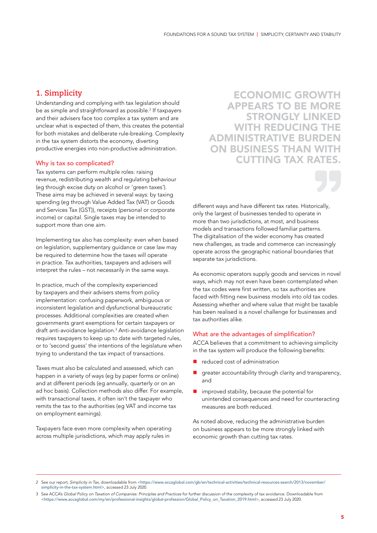### **1. Simplicity**

Understanding and complying with tax legislation should be as simple and straightforward as possible.2 If taxpayers and their advisers face too complex a tax system and are unclear what is expected of them, this creates the potential for both mistakes and deliberate rule-breaking. Complexity in the tax system distorts the economy, diverting productive energies into non-productive administration.

#### Why is tax so complicated?

Tax systems can perform multiple roles: raising revenue, redistributing wealth and regulating behaviour (eg through excise duty on alcohol or 'green taxes'). These aims may be achieved in several ways: by taxing spending (eg through Value Added Tax (VAT) or Goods and Services Tax (GST)), receipts (personal or corporate income) or capital. Single taxes may be intended to support more than one aim.

Implementing tax also has complexity: even when based on legislation, supplementary guidance or case law may be required to determine how the taxes will operate in practice. Tax authorities, taxpayers and advisers will interpret the rules – not necessarily in the same ways.

In practice, much of the complexity experienced by taxpayers and their advisers stems from policy implementation: confusing paperwork, ambiguous or inconsistent legislation and dysfunctional bureaucratic processes. Additional complexities are created when governments grant exemptions for certain taxpayers or draft anti-avoidance legislation.3 Anti-avoidance legislation requires taxpayers to keep up to date with targeted rules, or to 'second guess' the intentions of the legislature when trying to understand the tax impact of transactions.

Taxes must also be calculated and assessed, which can happen in a variety of ways (eg by paper forms or online) and at different periods (eg annually, quarterly or on an ad hoc basis). Collection methods also differ. For example, with transactional taxes, it often isn't the taxpayer who remits the tax to the authorities (eg VAT and income tax on employment earnings).

Taxpayers face even more complexity when operating across multiple jurisdictions, which may apply rules in

ECONOMIC GROWTH APPEARS TO BE MORE STRONGLY LINKED WITH REDUCING THE ADMINISTRATIVE BURDEN ON BUSINESS THAN WITH CUTTING TAX RATES.

different ways and have different tax rates. Historically, only the largest of businesses tended to operate in more than two jurisdictions, at most, and business models and transactions followed familiar patterns. The digitalisation of the wider economy has created new challenges, as trade and commerce can increasingly operate across the geographic national boundaries that separate tax jurisdictions.

As economic operators supply goods and services in novel ways, which may not even have been contemplated when the tax codes were first written, so tax authorities are faced with fitting new business models into old tax codes. Assessing whether and where value that might be taxable has been realised is a novel challenge for businesses and tax authorities alike.

#### What are the advantages of simplification?

ACCA believes that a commitment to achieving simplicity in the tax system will produce the following benefits:

- reduced cost of administration
- greater accountability through clarity and transparency, and
- $\blacksquare$  improved stability, because the potential for unintended consequences and need for counteracting measures are both reduced.

As noted above, reducing the administrative burden on business appears to be more strongly linked with economic growth than cutting tax rates.

<sup>2</sup> See our report, *Simplicity in Tax*, downloadable from <[https://www.accaglobal.com/gb/en/technical-activities/technical-resources-search/2013/november/](https://www.accaglobal.com/gb/en/technical-activities/technical-resources-search/2013/november/simplicity-in-the-tax-system.html) [simplicity-in-the-tax-system.html](https://www.accaglobal.com/gb/en/technical-activities/technical-resources-search/2013/november/simplicity-in-the-tax-system.html)>, accessed 23 July 2020.

<sup>3</sup> See ACCA's *Global Policy on Taxation of Companies: Principles and Practices* for further discussion of the complexity of tax avoidance. Downloadable from <[https://www.accaglobal.com/my/en/professional-insights/global-profession/Global\\_Policy\\_on\\_Taxation\\_2019.html](https://www.accaglobal.com/my/en/professional-insights/global-profession/Global_Policy_on_Taxation_2019.html)>, accessed 23 July 2020.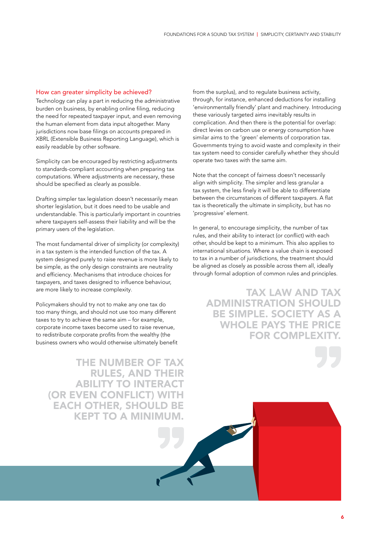#### How can greater simplicity be achieved?

Technology can play a part in reducing the administrative burden on business, by enabling online filing, reducing the need for repeated taxpayer input, and even removing the human element from data input altogether. Many jurisdictions now base filings on accounts prepared in XBRL (Extensible Business Reporting Language), which is easily readable by other software.

Simplicity can be encouraged by restricting adjustments to standards-compliant accounting when preparing tax computations. Where adjustments are necessary, these should be specified as clearly as possible.

Drafting simpler tax legislation doesn't necessarily mean shorter legislation, but it does need to be usable and understandable. This is particularly important in countries where taxpayers self-assess their liability and will be the primary users of the legislation.

The most fundamental driver of simplicity (or complexity) in a tax system is the intended function of the tax. A system designed purely to raise revenue is more likely to be simple, as the only design constraints are neutrality and efficiency. Mechanisms that introduce choices for taxpayers, and taxes designed to influence behaviour, are more likely to increase complexity.

Policymakers should try not to make any one tax do too many things, and should not use too many different taxes to try to achieve the same aim – for example, corporate income taxes become used to raise revenue, to redistribute corporate profits from the wealthy (the business owners who would otherwise ultimately benefit

THE NUMBER OF TAX RULES, AND THEIR ABILITY TO INTERACT (OR EVEN CONFLICT) WITH EACH OTHER, SHOULD BE KEPT TO A MINIMUM.

from the surplus), and to regulate business activity, through, for instance, enhanced deductions for installing 'environmentally friendly' plant and machinery. Introducing these variously targeted aims inevitably results in complication. And then there is the potential for overlap: direct levies on carbon use or energy consumption have similar aims to the 'green' elements of corporation tax. Governments trying to avoid waste and complexity in their tax system need to consider carefully whether they should operate two taxes with the same aim.

Note that the concept of fairness doesn't necessarily align with simplicity. The simpler and less granular a tax system, the less finely it will be able to differentiate between the circumstances of different taxpayers. A flat tax is theoretically the ultimate in simplicity, but has no 'progressive' element.

In general, to encourage simplicity, the number of tax rules, and their ability to interact (or conflict) with each other, should be kept to a minimum. This also applies to international situations. Where a value chain is exposed to tax in a number of jurisdictions, the treatment should be aligned as closely as possible across them all, ideally through formal adoption of common rules and principles.

TAX LAW AND TAX ADMINISTRATION SHOULD BE SIMPLE. SOCIETY AS A WHOLE PAYS THE PRICE **FOR COMPLEXIT**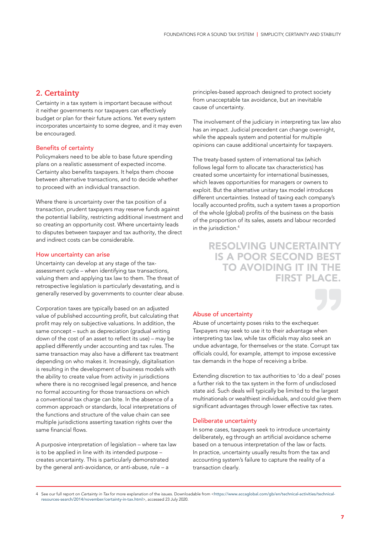### **2. Certainty**

Certainty in a tax system is important because without it neither governments nor taxpayers can effectively budget or plan for their future actions. Yet every system incorporates uncertainty to some degree, and it may even be encouraged.

#### Benefits of certainty

Policymakers need to be able to base future spending plans on a realistic assessment of expected income. Certainty also benefits taxpayers. It helps them choose between alternative transactions, and to decide whether to proceed with an individual transaction.

Where there is uncertainty over the tax position of a transaction, prudent taxpayers may reserve funds against the potential liability, restricting additional investment and so creating an opportunity cost. Where uncertainty leads to disputes between taxpayer and tax authority, the direct and indirect costs can be considerable.

#### How uncertainty can arise

Uncertainty can develop at any stage of the taxassessment cycle – when identifying tax transactions, valuing them and applying tax law to them. The threat of retrospective legislation is particularly devastating, and is generally reserved by governments to counter clear abuse.

Corporation taxes are typically based on an adjusted value of published accounting profit, but calculating that profit may rely on subjective valuations. In addition, the same concept – such as depreciation (gradual writing down of the cost of an asset to reflect its use) – may be applied differently under accounting and tax rules. The same transaction may also have a different tax treatment depending on who makes it. Increasingly, digitalisation is resulting in the development of business models with the ability to create value from activity in jurisdictions where there is no recognised legal presence, and hence no formal accounting for those transactions on which a conventional tax charge can bite. In the absence of a common approach or standards, local interpretations of the functions and structure of the value chain can see multiple jurisdictions asserting taxation rights over the same financial flows.

A purposive interpretation of legislation – where tax law is to be applied in line with its intended purpose – creates uncertainty. This is particularly demonstrated by the general anti-avoidance, or anti-abuse, rule – a

principles-based approach designed to protect society from unacceptable tax avoidance, but an inevitable cause of uncertainty.

The involvement of the judiciary in interpreting tax law also has an impact. Judicial precedent can change overnight, while the appeals system and potential for multiple opinions can cause additional uncertainty for taxpayers.

The treaty-based system of international tax (which follows legal form to allocate tax characteristics) has created some uncertainty for international businesses, which leaves opportunities for managers or owners to exploit. But the alternative unitary tax model introduces different uncertainties. Instead of taxing each company's locally accounted profits, such a system taxes a proportion of the whole (global) profits of the business on the basis of the proportion of its sales, assets and labour recorded in the jurisdiction.<sup>4</sup>

### RESOLVING UNCERTAINTY IS A POOR SECOND BEST TO AVOIDING IT IN THE FIRST PLACE.

#### Abuse of uncertainty

Abuse of uncertainty poses risks to the exchequer. Taxpayers may seek to use it to their advantage when interpreting tax law, while tax officials may also seek an undue advantage, for themselves or the state. Corrupt tax officials could, for example, attempt to impose excessive tax demands in the hope of receiving a bribe.

Extending discretion to tax authorities to 'do a deal' poses a further risk to the tax system in the form of undisclosed state aid. Such deals will typically be limited to the largest multinationals or wealthiest individuals, and could give them significant advantages through lower effective tax rates.

#### Deliberate uncertainty

In some cases, taxpayers seek to introduce uncertainty deliberately, eg through an artificial avoidance scheme based on a tenuous interpretation of the law or facts. In practice, uncertainty usually results from the tax and accounting system's failure to capture the reality of a transaction clearly.

<sup>4</sup> See our full report on *Certainty in Tax* for more explanation of the issues. Downloadable from <[https://www.accaglobal.com/gb/en/technical-activities/technical](https://www.accaglobal.com/gb/en/technical-activities/technical-resources-search/2014/november/certainty-in-tax.html)[resources-search/2014/november/certainty-in-tax.html](https://www.accaglobal.com/gb/en/technical-activities/technical-resources-search/2014/november/certainty-in-tax.html)>, accessed 23 July 2020.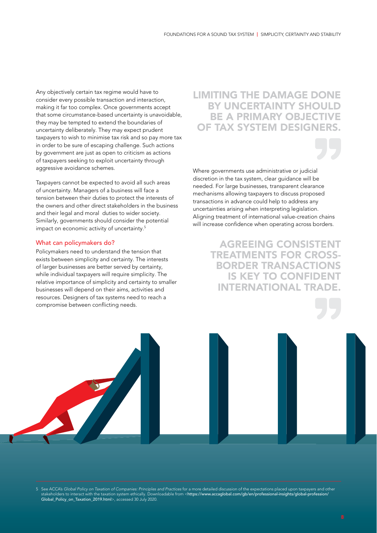Any objectively certain tax regime would have to consider every possible transaction and interaction, making it far too complex. Once governments accept that some circumstance-based uncertainty is unavoidable, they may be tempted to extend the boundaries of uncertainty deliberately. They may expect prudent taxpayers to wish to minimise tax risk and so pay more tax in order to be sure of escaping challenge. Such actions by government are just as open to criticism as actions of taxpayers seeking to exploit uncertainty through aggressive avoidance schemes.

Taxpayers cannot be expected to avoid all such areas of uncertainty. Managers of a business will face a tension between their duties to protect the interests of the owners and other direct stakeholders in the business and their legal and moral duties to wider society. Similarly, governments should consider the potential impact on economic activity of uncertainty.<sup>5</sup>

#### What can policymakers do?

Policymakers need to understand the tension that exists between simplicity and certainty. The interests of larger businesses are better served by certainty, while individual taxpayers will require simplicity. The relative importance of simplicity and certainty to smaller businesses will depend on their aims, activities and resources. Designers of tax systems need to reach a compromise between conflicting needs.

### LIMITING THE DAMAGE DONE BY UNCERTAINTY SHOULD BE A PRIMARY OBJECTIVE OF TAX SYSTEM DESIGNER

Where governments use administrative or judicial discretion in the tax system, clear guidance will be needed. For large businesses, transparent clearance mechanisms allowing taxpayers to discuss proposed transactions in advance could help to address any uncertainties arising when interpreting legislation. Aligning treatment of international value-creation chains will increase confidence when operating across borders.

> AGREEING CONSISTENT TREATMENTS FOR CROSS-BORDER TRANSACTIONS IS KEY TO CONFIDENT INTERNATIONAL TRADE.

5 See ACCA's *Global Policy on Taxation of Companies: Principles and Practices* for a more detailed discussion of the expectations placed upon taxpayers and other stakeholders to interact with the taxation system ethically. Downloadable from <[https://www.accaglobal.com/gb/en/professional-insights/global-profession/](https://www.accaglobal.com/gb/en/professional-insights/global-profession/Global_Policy_on_Taxation_2019.html) [Global\\_Policy\\_on\\_Taxation\\_2019.html](https://www.accaglobal.com/gb/en/professional-insights/global-profession/Global_Policy_on_Taxation_2019.html)>, accessed 30 July 2020.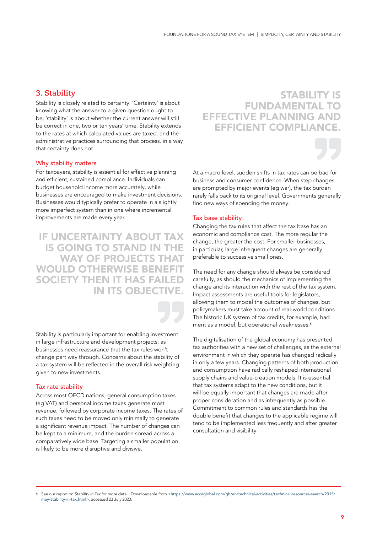### **3. Stability**

Stability is closely related to certainty. 'Certainty' is about knowing what the answer to a given question ought to be; 'stability' is about whether the current answer will still be correct in one, two or ten years' time. Stability extends to the rates at which calculated values are taxed. and the administrative practices surrounding that process. in a way that certainty does not.

#### Why stability matters

For taxpayers, stability is essential for effective planning and efficient, sustained compliance. Individuals can budget household income more accurately, while businesses are encouraged to make investment decisions. Businesses would typically prefer to operate in a slightly more imperfect system than in one where incremental improvements are made every year.

IF UNCERTAINTY ABOUT TAX IS GOING TO STAND IN THE WAY OF PROJECTS THAT WOULD OTHERWISE BENEFIT SOCIETY THEN IT HAS FAILED IN ITS OBJECTIVE.

Stability is particularly important for enabling investment in large infrastructure and development projects, as businesses need reassurance that the tax rules won't change part way through. Concerns about the stability of a tax system will be reflected in the overall risk weighting given to new investments.

#### Tax rate stability

Across most OECD nations, general consumption taxes (eg VAT) and personal income taxes generate most revenue, followed by corporate income taxes. The rates of such taxes need to be moved only minimally to generate a significant revenue impact. The number of changes can be kept to a minimum, and the burden spread across a comparatively wide base. Targeting a smaller population is likely to be more disruptive and divisive.

### STABILITY IS FUNDAMENTAL TO EFFECTIVE PLANNING AND **EFFICIENT COMPLIANC**



At a macro level, sudden shifts in tax rates can be bad for business and consumer confidence. When step changes are prompted by major events (eg war), the tax burden rarely falls back to its original level. Governments generally find new ways of spending the money.

#### Tax base stability

Changing the tax rules that affect the tax base has an economic and compliance cost. The more regular the change, the greater the cost. For smaller businesses, in particular, large infrequent changes are generally preferable to successive small ones.

The need for any change should always be considered carefully, as should the mechanics of implementing the change and its interaction with the rest of the tax system. Impact assessments are useful tools for legislators, allowing them to model the outcomes of changes, but policymakers must take account of real-world conditions. The historic UK system of tax credits, for example, had merit as a model, but operational weaknesses.<sup>6</sup>

The digitalisation of the global economy has presented tax authorities with a new set of challenges, as the external environment in which they operate has changed radically in only a few years. Changing patterns of both production and consumption have radically reshaped international supply chains and value-creation models. It is essential that tax systems adapt to the new conditions, but it will be equally important that changes are made after proper consideration and as infrequently as possible. Commitment to common rules and standards has the double benefit that changes to the applicable regime will tend to be implemented less frequently and after greater consultation and visibility.

6 See our report on *Stability in Tax* for more detail. Downloadable from <[https://www.accaglobal.com/gb/en/technical-activities/technical-resources-search/2015/](https://www.accaglobal.com/gb/en/technical-activities/technical-resources-search/2015/may/stability-in-tax.html) [may/stability-in-tax.html](https://www.accaglobal.com/gb/en/technical-activities/technical-resources-search/2015/may/stability-in-tax.html)>, accessed 23 July 2020.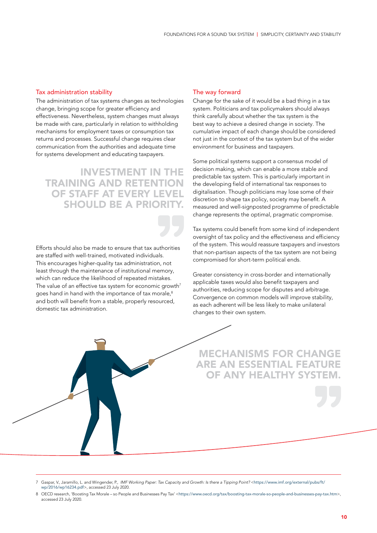#### Tax administration stability

The administration of tax systems changes as technologies change, bringing scope for greater efficiency and effectiveness. Nevertheless, system changes must always be made with care, particularly in relation to withholding mechanisms for employment taxes or consumption tax returns and processes. Successful change requires clear communication from the authorities and adequate time for systems development and educating taxpayers.

## INVESTMENT IN THE TRAINING AND RETENTION OF STAFF AT EVERY LEVEL SHOULD BE A PRIORITY.

Efforts should also be made to ensure that tax authorities are staffed with well-trained, motivated individuals. This encourages higher-quality tax administration, not least through the maintenance of institutional memory, which can reduce the likelihood of repeated mistakes. The value of an effective tax system for economic growth<sup>7</sup> goes hand in hand with the importance of tax morale,<sup>8</sup> and both will benefit from a stable, properly resourced, domestic tax administration.

#### The way forward

Change for the sake of it would be a bad thing in a tax system. Politicians and tax policymakers should always think carefully about whether the tax system is the best way to achieve a desired change in society. The cumulative impact of each change should be considered not just in the context of the tax system but of the wider environment for business and taxpayers.

Some political systems support a consensus model of decision making, which can enable a more stable and predictable tax system. This is particularly important in the developing field of international tax responses to digitalisation. Though politicians may lose some of their discretion to shape tax policy, society may benefit. A measured and well-signposted programme of predictable change represents the optimal, pragmatic compromise.

Tax systems could benefit from some kind of independent oversight of tax policy and the effectiveness and efficiency of the system. This would reassure taxpayers and investors that non-partisan aspects of the tax system are not being compromised for short-term political ends.

Greater consistency in cross-border and internationally applicable taxes would also benefit taxpayers and authorities, reducing scope for disputes and arbitrage. Convergence on common models will improve stability, as each adherent will be less likely to make unilateral changes to their own system.

MECHANISMS FOR CHANGE ARE AN ESSENTIAL FEATURE OF ANY HEALTHY SYSTEM

<sup>7</sup> Gaspar, V., Jaramillo, L. and Wingender, P., *IMF Working Paper: Tax Capacity and Growth: Is there a Tipping Point?* <[https://www.imf.org/external/pubs/ft/](https://www.imf.org/external/pubs/ft/wp/2016/wp16234.pdf) [wp/2016/wp16234.pdf](https://www.imf.org/external/pubs/ft/wp/2016/wp16234.pdf)>, accessed 23 July 2020.

<sup>8</sup> OECD research, 'Boosting Tax Morale – so People and Businesses Pay Tax' <<https://www.oecd.org/tax/boosting-tax-morale-so-people-and-businesses-pay-tax.htm>>, accessed 23 July 2020.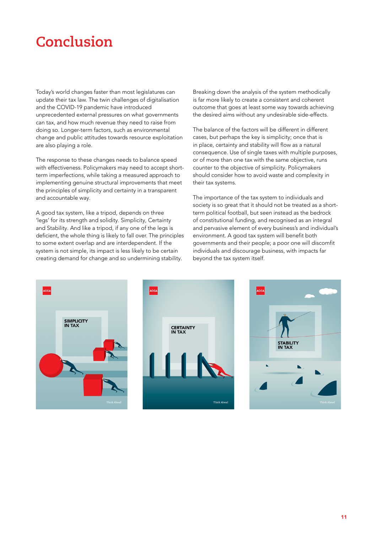# **Conclusion**

Today's world changes faster than most legislatures can update their tax law. The twin challenges of digitalisation and the COVID-19 pandemic have introduced unprecedented external pressures on what governments can tax, and how much revenue they need to raise from doing so. Longer-term factors, such as environmental change and public attitudes towards resource exploitation are also playing a role.

The response to these changes needs to balance speed with effectiveness. Policymakers may need to accept shortterm imperfections, while taking a measured approach to implementing genuine structural improvements that meet the principles of simplicity and certainty in a transparent and accountable way.

A good tax system, like a tripod, depends on three 'legs' for its strength and solidity. Simplicity, Certainty and Stability. And like a tripod, if any one of the legs is deficient, the whole thing is likely to fall over. The principles to some extent overlap and are interdependent. If the system is not simple, its impact is less likely to be certain creating demand for change and so undermining stability.

Breaking down the analysis of the system methodically is far more likely to create a consistent and coherent outcome that goes at least some way towards achieving the desired aims without any undesirable side-effects.

The balance of the factors will be different in different cases, but perhaps the key is simplicity; once that is in place, certainty and stability will flow as a natural consequence. Use of single taxes with multiple purposes, or of more than one tax with the same objective, runs counter to the objective of simplicity. Policymakers should consider how to avoid waste and complexity in their tax systems.

The importance of the tax system to individuals and society is so great that it should not be treated as a shortterm political football, but seen instead as the bedrock of constitutional funding, and recognised as an integral and pervasive element of every business's and individual's environment. A good tax system will benefit both governments and their people; a poor one will discomfit individuals and discourage business, with impacts far beyond the tax system itself.